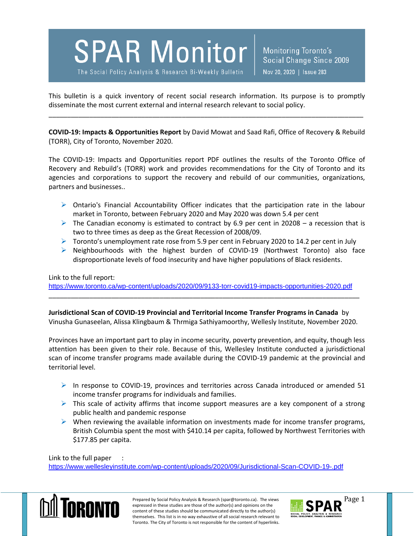## **SPAR Monitor**

The Social Policy Analysis & Research Bi-Weekly Bulletin

Monitoring Toronto's Social Change Since 2009 Nov 20, 2020 | Issue 283

This bulletin is a quick inventory of recent social research information. Its purpose is to promptly disseminate the most current external and internal research relevant to social policy.

\_\_\_\_\_\_\_\_\_\_\_\_\_\_\_\_\_\_\_\_\_\_\_\_\_\_\_\_\_\_\_\_\_\_\_\_\_\_\_\_\_\_\_\_\_\_\_\_\_\_\_\_\_\_\_\_\_\_\_\_\_\_\_\_\_\_\_\_\_\_\_\_\_\_\_\_\_\_\_\_\_\_\_\_\_

**COVID-19: Impacts & Opportunities Report** by David Mowat and Saad Rafi, Office of Recovery & Rebuild (TORR), City of Toronto, November 2020.

The COVID-19: Impacts and Opportunities report PDF outlines the results of the Toronto Office of Recovery and Rebuild's (TORR) work and provides recommendations for the City of Toronto and its agencies and corporations to support the recovery and rebuild of our communities, organizations, partners and businesses..

- $\triangleright$  Ontario's Financial Accountability Officer indicates that the participation rate in the labour market in Toronto, between February 2020 and May 2020 was down 5.4 per cent
- The Canadian economy is estimated to contract by 6.9 per cent in 20208 a recession that is two to three times as deep as the Great Recession of 2008/09.
- $\triangleright$  Toronto's unemployment rate rose from 5.9 per cent in February 2020 to 14.2 per cent in July
- $\triangleright$  Neighbourhoods with the highest burden of COVID-19 (Northwest Toronto) also face disproportionate levels of food insecurity and have higher populations of Black residents.

Link to the full report:

<https://www.toronto.ca/wp-content/uploads/2020/09/9133-torr-covid19-impacts-opportunities-2020.pdf> \_\_\_\_\_\_\_\_\_\_\_\_\_\_\_\_\_\_\_\_\_\_\_\_\_\_\_\_\_\_\_\_\_\_\_\_\_\_\_\_\_\_\_\_\_\_\_\_\_\_\_\_\_\_\_\_\_\_\_\_\_\_\_\_\_\_\_\_\_\_\_\_\_\_\_\_\_\_\_\_\_\_\_\_

**Jurisdictional Scan of COVID-19 Provincial and Territorial Income Transfer Programs in Canada** by Vinusha Gunaseelan, Alissa Klingbaum & Thrmiga Sathiyamoorthy, Wellesly Institute, November 2020.

Provinces have an important part to play in income security, poverty prevention, and equity, though less attention has been given to their role. Because of this, Wellesley Institute conducted a jurisdictional scan of income transfer programs made available during the COVID-19 pandemic at the provincial and territorial level.

- In response to COVID-19, provinces and territories across Canada introduced or amended 51 income transfer programs for individuals and families.
- $\triangleright$  This scale of activity affirms that income support measures are a key component of a strong public health and pandemic response
- $\triangleright$  When reviewing the available information on investments made for income transfer programs, British Columbia spent the most with \$410.14 per capita, followed by Northwest Territories with \$177.85 per capita.

Link to the full paper :

<https://www.wellesleyinstitute.com/wp-content/uploads/2020/09/Jurisdictional-Scan-COVID-19-.pdf>



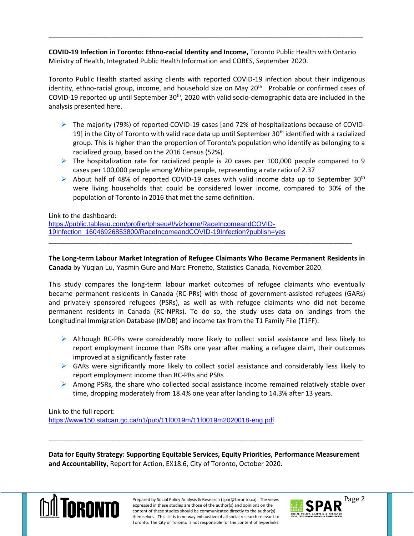**COVID-19 Infection in Toronto: Ethno-racial Identity and Income,** Toronto Public Health with Ontario Ministry of Health, Integrated Public Health Information and CORES, September 2020.

\_\_\_\_\_\_\_\_\_\_\_\_\_\_\_\_\_\_\_\_\_\_\_\_\_\_\_\_\_\_\_\_\_\_\_\_\_\_\_\_\_\_\_\_\_\_\_\_\_\_\_\_\_\_\_\_\_\_\_\_\_\_\_\_\_\_\_\_\_\_\_\_\_\_\_\_\_\_\_\_\_\_\_\_\_

Toronto Public Health started asking clients with reported COVID-19 infection about their indigenous identity, ethno-racial group, income, and household size on May 20<sup>th</sup>. Probable or confirmed cases of COVID-19 reported up until September 30<sup>th</sup>, 2020 with valid socio-demographic data are included in the analysis presented here.

- $\triangleright$  The majority (79%) of reported COVID-19 cases [and 72% of hospitalizations because of COVID-19] in the City of Toronto with valid race data up until September  $30<sup>th</sup>$  identified with a racialized group. This is higher than the proportion of Toronto's population who identify as belonging to a racialized group, based on the 2016 Census (52%).
- $\triangleright$  The hospitalization rate for racialized people is 20 cases per 100,000 people compared to 9 cases per 100,000 people among White people, representing a rate ratio of 2.37
- About half of 48% of reported COVID-19 cases with valid income data up to September 30<sup>th</sup> were living households that could be considered lower income, compared to 30% of the population of Toronto in 2016 that met the same definition.

Link to the dashboard:

[https://public.tableau.com/profile/tphseu#!/vizhome/RaceIncomeandCOVID-](https://public.tableau.com/profile/tphseu#!/vizhome/RaceIncomeandCOVID-19Infection_16046926853800/RaceIncomeandCOVID-19Infection?publish=yes)[19Infection\\_16046926853800/RaceIncomeandCOVID-19Infection?publish=yes](https://public.tableau.com/profile/tphseu#!/vizhome/RaceIncomeandCOVID-19Infection_16046926853800/RaceIncomeandCOVID-19Infection?publish=yes)

**The Long-term Labour Market Integration of Refugee Claimants Who Became Permanent Residents in Canada** by Yuqian Lu, Yasmin Gure and Marc Frenette, Statistics Canada, November 2020.

\_\_\_\_\_\_\_\_\_\_\_\_\_\_\_\_\_\_\_\_\_\_\_\_\_\_\_\_\_\_\_\_\_\_\_\_\_\_\_\_\_\_\_\_\_\_\_\_\_\_\_\_\_\_\_\_\_\_\_\_\_\_\_\_\_\_\_\_\_\_\_\_\_\_\_\_\_\_\_\_\_\_

This study compares the long-term labour market outcomes of refugee claimants who eventually became permanent residents in Canada (RC-PRs) with those of government-assisted refugees (GARs) and privately sponsored refugees (PSRs), as well as with refugee claimants who did not become permanent residents in Canada (RC-NPRs). To do so, the study uses data on landings from the Longitudinal Immigration Database (IMDB) and income tax from the T1 Family File (T1FF).

- $\triangleright$  Although RC-PRs were considerably more likely to collect social assistance and less likely to report employment income than PSRs one year after making a refugee claim, their outcomes improved at a significantly faster rate
- $\triangleright$  GARs were significantly more likely to collect social assistance and considerably less likely to report employment income than RC-PRs and PSRs
- $\triangleright$  Among PSRs, the share who collected social assistance income remained relatively stable over time, dropping moderately from 18.4% one year after landing to 14.3% after 13 years.

Link to the full report:

<https://www150.statcan.gc.ca/n1/pub/11f0019m/11f0019m2020018-eng.pdf>

**Data for Equity Strategy: Supporting Equitable Services, Equity Priorities, Performance Measurement and Accountability,** Report for Action, EX18.6, City of Toronto, October 2020.

\_\_\_\_\_\_\_\_\_\_\_\_\_\_\_\_\_\_\_\_\_\_\_\_\_\_\_\_\_\_\_\_\_\_\_\_\_\_\_\_\_\_\_\_\_\_\_\_\_\_\_\_\_\_\_\_\_\_\_\_\_\_\_\_\_\_\_\_\_\_\_\_\_\_\_\_\_\_\_\_\_\_\_\_\_